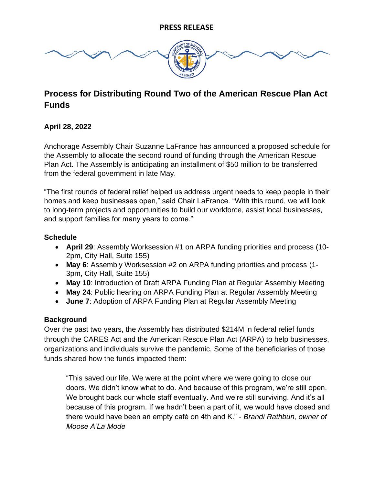

# **Process for Distributing Round Two of the American Rescue Plan Act Funds**

# **April 28, 2022**

Anchorage Assembly Chair Suzanne LaFrance has announced a proposed schedule for the Assembly to allocate the second round of funding through the American Rescue Plan Act. The Assembly is anticipating an installment of \$50 million to be transferred from the federal government in late May.

"The first rounds of federal relief helped us address urgent needs to keep people in their homes and keep businesses open," said Chair LaFrance. "With this round, we will look to long-term projects and opportunities to build our workforce, assist local businesses, and support families for many years to come."

## **Schedule**

- **April 29**: Assembly Worksession #1 on ARPA funding priorities and process (10- 2pm, City Hall, Suite 155)
- **May 6**: Assembly Worksession #2 on ARPA funding priorities and process (1- 3pm, City Hall, Suite 155)
- **May 10**: Introduction of Draft ARPA Funding Plan at Regular Assembly Meeting
- **May 24**: Public hearing on ARPA Funding Plan at Regular Assembly Meeting
- **June 7**: Adoption of ARPA Funding Plan at Regular Assembly Meeting

#### **Background**

Over the past two years, the Assembly has distributed \$214M in federal relief funds through the CARES Act and the American Rescue Plan Act (ARPA) to help businesses, organizations and individuals survive the pandemic. Some of the beneficiaries of those funds shared how the funds impacted them:

"This saved our life. We were at the point where we were going to close our doors. We didn't know what to do. And because of this program, we're still open. We brought back our whole staff eventually. And we're still surviving. And it's all because of this program. If we hadn't been a part of it, we would have closed and there would have been an empty café on 4th and K." - *Brandi Rathbun, owner of Moose A'La Mode*